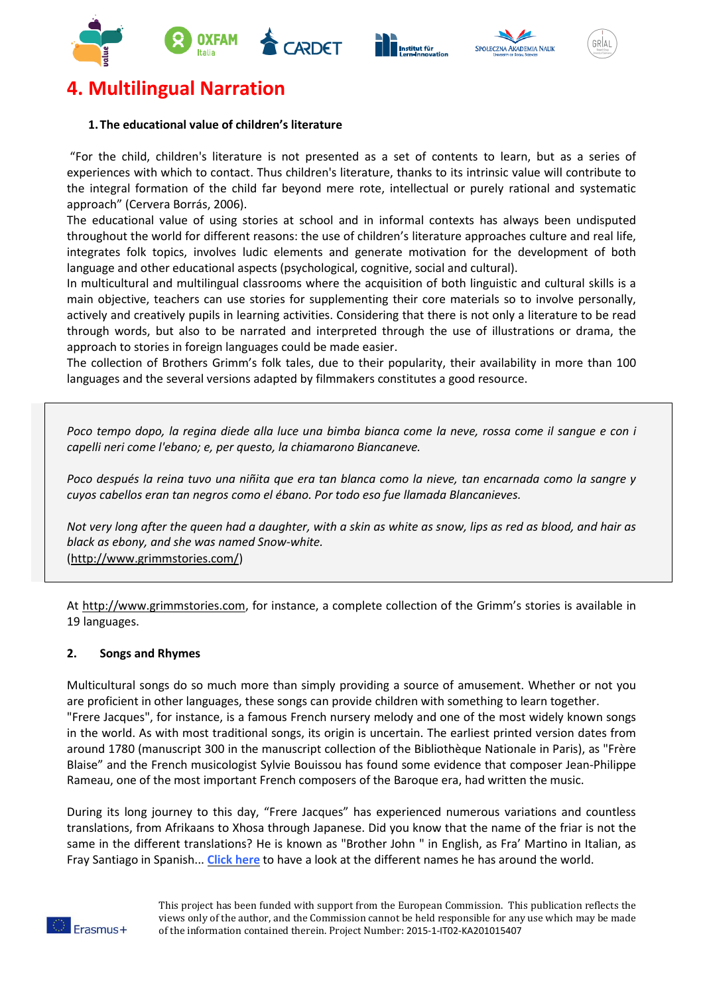





# **4. Multilingual Narration**

## **1. The educational value of children's literature**

"For the child, children's literature is not presented as a set of contents to learn, but as a series of experiences with which to contact. Thus children's literature, thanks to its intrinsic value will contribute to the integral formation of the child far beyond mere rote, intellectual or purely rational and systematic approach" (Cervera Borrás, 2006).

The educational value of using stories at school and in informal contexts has always been undisputed throughout the world for different reasons: the use of children's literature approaches culture and real life, integrates folk topics, involves ludic elements and generate motivation for the development of both language and other educational aspects (psychological, cognitive, social and cultural).

In multicultural and multilingual classrooms where the acquisition of both linguistic and cultural skills is a main objective, teachers can use stories for supplementing their core materials so to involve personally, actively and creatively pupils in learning activities. Considering that there is not only a literature to be read through words, but also to be narrated and interpreted through the use of illustrations or drama, the approach to stories in foreign languages could be made easier.

The collection of Brothers Grimm's folk tales, due to their popularity, their availability in more than 100 languages and the several versions adapted by filmmakers constitutes a good resource.

Poco tempo dopo, la regina diede alla luce una bimba bianca come la neve, rossa come il sangue e con i *capelli neri come l'ebano; e, per questo, la chiamarono Biancaneve.*

Poco después la reina tuvo una niñita que era tan blanca como la nieve, tan encarnada como la sangre y *cuyos cabellos eran tan negros como el ébano. Por todo eso fue llamada Blancanieves.*

Not very long after the queen had a daughter, with a skin as white as snow, lips as red as blood, and hair as *black as ebony, and she was named Snow-white.* [\(http://www.grimmstories.com/\)](http://www.grimmstories.com/)

At [http://www.grimmstories.com,](http://www.grimmstories.com/) for instance, a complete collection of the Grimm's stories is available in 19 languages.

### **2. Songs and Rhymes**

Multicultural songs do so much more than simply providing a source of amusement. Whether or not you are proficient in other languages, these songs can provide children with something to learn together. "Frere Jacques", for instance, is a famous French nursery melody and one of the most widely known songs in the world. As with most traditional songs, its origin is uncertain. The earliest printed version dates from around 1780 (manuscript 300 in the manuscript collection of the Bibliothèque Nationale in Paris), as "Frère Blaise" and the French musicologist Sylvie Bouissou has found some evidence that composer Jean-Philippe Rameau, one of the most important French composers of the Baroque era, had written the music.

During its long journey to this day, "Frere Jacques" has experienced numerous variations and countless translations, from Afrikaans to Xhosa through Japanese. Did you know that the name of the friar is not the same in the different translations? He is known as ["Brother](http://bussongs.com/songs/brother-john.php) John " in English, as Fra' Martino in Italian, as Fray Santiago in Spanish... **[Click](http://demonsaumonde.free.fr/frere.jacques/) here** to have a look at the different names he has around the world.



This project has been funded with support from the European Commission. This publication reflects the views only of the author, and the Commission cannot be held responsible for any use which may be made of the information contained therein. Project Number: 2015-1-IT02-KA201015407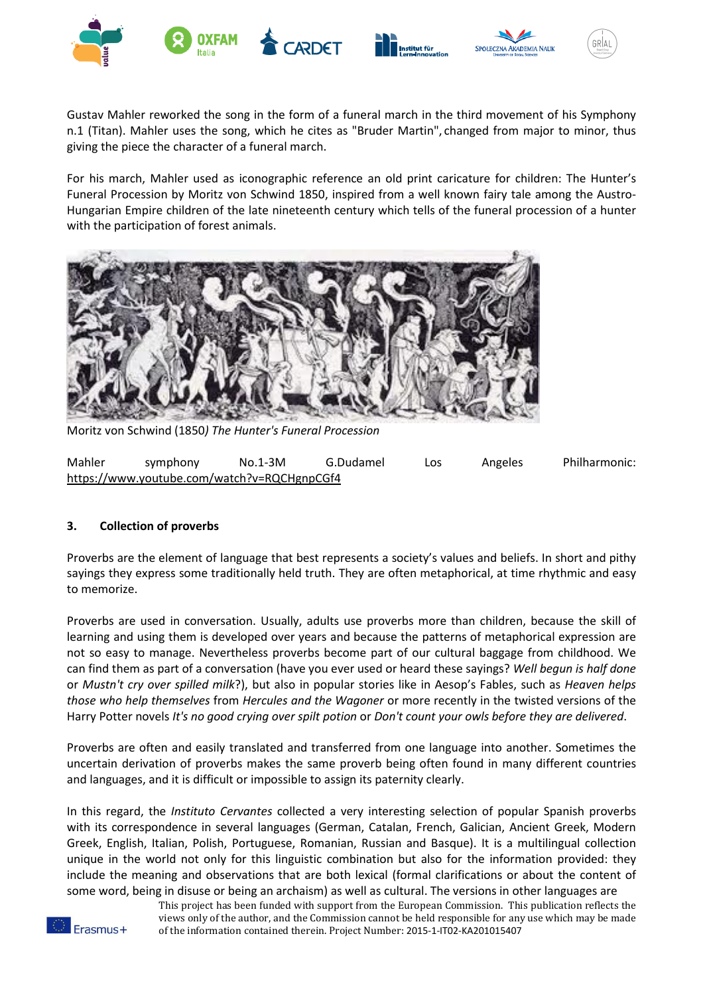







Gustav Mahler reworked the song in the form of a funeral march in the third movement of his Symphony n.1 (Titan). Mahler uses the song, which he cites as "Bruder Martin", changed from major to minor, thus giving the piece the character of a funeral march.

For his march, Mahler used as iconographic reference an old print caricature for children: The Hunter's Funeral Procession by Moritz von Schwind 1850, inspired from a well known fairy tale among the Austro-Hungarian Empire children of the late nineteenth century which tells of the funeral procession of a hunter with the participation of forest animals.



Moritz von Schwind (1850*) The Hunter's Funeral Procession*

| Mahler                                      | symphony | $No.1-3M$ | G.Dudamel | Los | Angeles | Philharmonic: |
|---------------------------------------------|----------|-----------|-----------|-----|---------|---------------|
| https://www.youtube.com/watch?v=RQCHgnpCGf4 |          |           |           |     |         |               |

# **3. Collection of proverbs**

Proverbs are the element of language that best represents a society's values and beliefs. In short and pithy sayings they express some traditionally held truth. They are often metaphorical, at time rhythmic and easy to memorize.

Proverbs are used in conversation. Usually, adults use proverbs more than children, because the skill of learning and using them is developed over years and because the patterns of metaphorical expression are not so easy to manage. Nevertheless proverbs become part of our cultural baggage from childhood. We can find them as part of a conversation (have you ever used or heard these sayings? *Well begun is half done* or *Mustn't cry over spilled milk*?), but also in popular stories like in Aesop's Fables, such as *Heaven helps those who help themselves* from *Hercules and the Wagoner* or more recently in the twisted versions of the Harry Potter novels *It's no good crying over spilt potion* or *Don't count your owls before they are delivered*.

Proverbs are often and easily translated and transferred from one language into another. Sometimes the uncertain derivation of proverbs makes the same proverb being often found in many different countries and languages, and it is difficult or impossible to assign its paternity clearly.

In this regard, the *Instituto Cervantes* collected a very interesting selection of popular Spanish proverbs with its correspondence in several languages (German, Catalan, French, Galician, Ancient Greek, Modern Greek, English, Italian, Polish, Portuguese, Romanian, Russian and Basque). It is a multilingual collection unique in the world not only for this linguistic combination but also for the information provided: they include the meaning and observations that are both lexical (formal clarifications or about the content of some word, being in disuse or being an archaism) as well as cultural. The versions in other languages are

This project has been funded with support from the European Commission. This publication reflects the views only of the author, and the Commission cannot be held responsible for any use which may be made of the information contained therein. Project Number: 2015-1-IT02-KA201015407